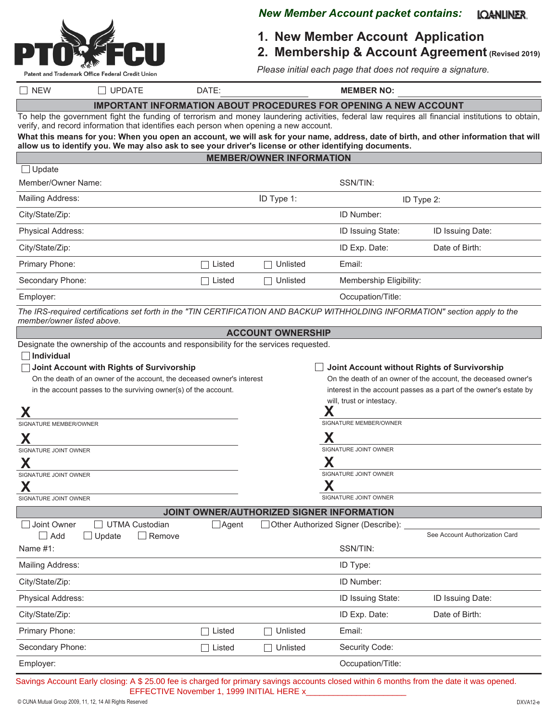

#### *New Member Account packet contains:* **IQANLINER.**

**1. New Member Account Application**

**2. Membership & Account Agreement (Revised 2019)**

*Please initial each page that does not require a signature.*

| <b>NEW</b>                                                                                                                                                                                                                                  | $\Box$ UPDATE                                                                                                                | DATE:        |                                           | <b>MEMBER NO:</b>                                                       |                                                                                                                                       |
|---------------------------------------------------------------------------------------------------------------------------------------------------------------------------------------------------------------------------------------------|------------------------------------------------------------------------------------------------------------------------------|--------------|-------------------------------------------|-------------------------------------------------------------------------|---------------------------------------------------------------------------------------------------------------------------------------|
|                                                                                                                                                                                                                                             |                                                                                                                              |              |                                           | <b>IMPORTANT INFORMATION ABOUT PROCEDURES FOR OPENING A NEW ACCOUNT</b> |                                                                                                                                       |
| To help the government fight the funding of terrorism and money laundering activities, federal law requires all financial institutions to obtain,<br>verify, and record information that identifies each person when opening a new account. |                                                                                                                              |              |                                           |                                                                         |                                                                                                                                       |
|                                                                                                                                                                                                                                             | allow us to identify you. We may also ask to see your driver's license or other identifying documents.                       |              |                                           |                                                                         | What this means for you: When you open an account, we will ask for your name, address, date of birth, and other information that will |
|                                                                                                                                                                                                                                             |                                                                                                                              |              | <b>MEMBER/OWNER INFORMATION</b>           |                                                                         |                                                                                                                                       |
| $\Box$ Update                                                                                                                                                                                                                               |                                                                                                                              |              |                                           |                                                                         |                                                                                                                                       |
| Member/Owner Name:                                                                                                                                                                                                                          |                                                                                                                              |              |                                           | SSN/TIN:                                                                |                                                                                                                                       |
| <b>Mailing Address:</b>                                                                                                                                                                                                                     |                                                                                                                              |              | ID Type 1:                                |                                                                         | ID Type 2:                                                                                                                            |
| City/State/Zip:                                                                                                                                                                                                                             |                                                                                                                              |              |                                           | ID Number:                                                              |                                                                                                                                       |
| Physical Address:                                                                                                                                                                                                                           |                                                                                                                              |              |                                           | ID Issuing State:                                                       | ID Issuing Date:                                                                                                                      |
| City/State/Zip:                                                                                                                                                                                                                             |                                                                                                                              |              |                                           | ID Exp. Date:                                                           | Date of Birth:                                                                                                                        |
| Primary Phone:                                                                                                                                                                                                                              |                                                                                                                              | Listed       | Unlisted                                  | Email:                                                                  |                                                                                                                                       |
| Secondary Phone:                                                                                                                                                                                                                            |                                                                                                                              | Listed       | Unlisted                                  | Membership Eligibility:                                                 |                                                                                                                                       |
| Employer:                                                                                                                                                                                                                                   |                                                                                                                              |              |                                           | Occupation/Title:                                                       |                                                                                                                                       |
| member/owner listed above.                                                                                                                                                                                                                  | The IRS-required certifications set forth in the "TIN CERTIFICATION AND BACKUP WITHHOLDING INFORMATION" section apply to the |              |                                           |                                                                         |                                                                                                                                       |
|                                                                                                                                                                                                                                             |                                                                                                                              |              | <b>ACCOUNT OWNERSHIP</b>                  |                                                                         |                                                                                                                                       |
|                                                                                                                                                                                                                                             | Designate the ownership of the accounts and responsibility for the services requested.                                       |              |                                           |                                                                         |                                                                                                                                       |
| Individual                                                                                                                                                                                                                                  | Joint Account with Rights of Survivorship                                                                                    |              |                                           |                                                                         | Joint Account without Rights of Survivorship                                                                                          |
|                                                                                                                                                                                                                                             | On the death of an owner of the account, the deceased owner's interest                                                       |              |                                           |                                                                         | On the death of an owner of the account, the deceased owner's                                                                         |
|                                                                                                                                                                                                                                             | in the account passes to the surviving owner(s) of the account.                                                              |              |                                           |                                                                         | interest in the account passes as a part of the owner's estate by                                                                     |
| Χ                                                                                                                                                                                                                                           |                                                                                                                              |              |                                           | will, trust or intestacy.                                               |                                                                                                                                       |
| SIGNATURE MEMBER/OWNER                                                                                                                                                                                                                      |                                                                                                                              |              |                                           | SIGNATURE MEMBER/OWNER                                                  |                                                                                                                                       |
| Х                                                                                                                                                                                                                                           |                                                                                                                              |              |                                           |                                                                         |                                                                                                                                       |
| SIGNATURE JOINT OWNER                                                                                                                                                                                                                       |                                                                                                                              |              |                                           | SIGNATURE JOINT OWNER                                                   |                                                                                                                                       |
| Χ                                                                                                                                                                                                                                           |                                                                                                                              |              |                                           |                                                                         |                                                                                                                                       |
| SIGNATURE JOINT OWNER<br>X                                                                                                                                                                                                                  |                                                                                                                              |              |                                           | SIGNATURE JOINT OWNER<br>Χ                                              |                                                                                                                                       |
| SIGNATURE JOINT OWNER                                                                                                                                                                                                                       |                                                                                                                              |              |                                           | SIGNATURE JOINT OWNER                                                   |                                                                                                                                       |
|                                                                                                                                                                                                                                             |                                                                                                                              |              | JOINT OWNER/AUTHORIZED SIGNER INFORMATION |                                                                         |                                                                                                                                       |
| Joint Owner<br>$\Box$ Add                                                                                                                                                                                                                   | <b>UTMA Custodian</b><br>$\Box$ Update<br>$\Box$ Remove                                                                      | $\Box$ Agent |                                           | Other Authorized Signer (Describe):                                     | See Account Authorization Card                                                                                                        |
| Name #1:                                                                                                                                                                                                                                    |                                                                                                                              |              |                                           | SSN/TIN:                                                                |                                                                                                                                       |
| Mailing Address:                                                                                                                                                                                                                            |                                                                                                                              |              |                                           | ID Type:                                                                |                                                                                                                                       |
| City/State/Zip:                                                                                                                                                                                                                             |                                                                                                                              |              |                                           | ID Number:                                                              |                                                                                                                                       |
| Physical Address:                                                                                                                                                                                                                           |                                                                                                                              |              |                                           | ID Issuing State:                                                       | ID Issuing Date:                                                                                                                      |
| City/State/Zip:                                                                                                                                                                                                                             |                                                                                                                              |              |                                           | ID Exp. Date:                                                           | Date of Birth:                                                                                                                        |
| Primary Phone:                                                                                                                                                                                                                              |                                                                                                                              | Listed       | Unlisted                                  | Email:                                                                  |                                                                                                                                       |
| Secondary Phone:                                                                                                                                                                                                                            |                                                                                                                              | Listed       | Unlisted                                  | Security Code:                                                          |                                                                                                                                       |
| Employer:                                                                                                                                                                                                                                   |                                                                                                                              |              |                                           | Occupation/Title:                                                       |                                                                                                                                       |
|                                                                                                                                                                                                                                             |                                                                                                                              |              |                                           |                                                                         |                                                                                                                                       |

Savings Account Early closing: A \$ 25.00 fee is charged for primary savings accounts closed within 6 months from the date it was opened. EFFECTIVE November 1, 1999 INITIAL HERE x\_\_\_\_\_\_\_\_\_\_\_\_\_\_\_\_\_\_\_\_\_\_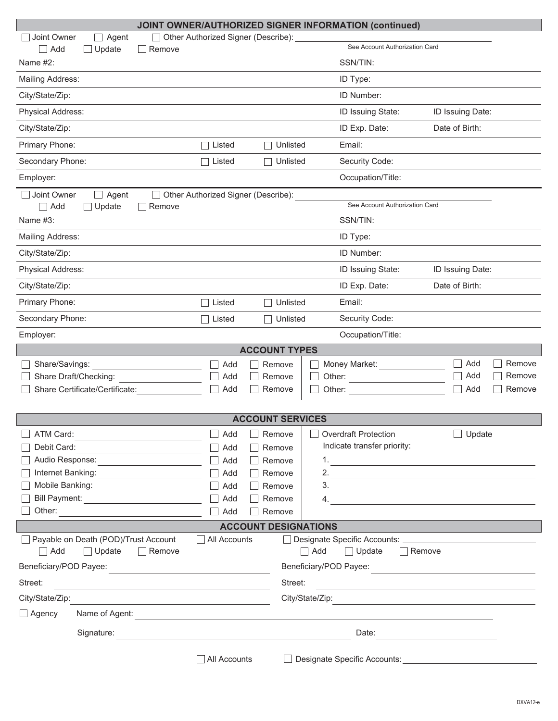| <b>JOINT OWNER/AUTHORIZED SIGNER INFORMATION (continued)</b>                                                                               |                                                                |                         |                                |                                                                                                                      |  |  |
|--------------------------------------------------------------------------------------------------------------------------------------------|----------------------------------------------------------------|-------------------------|--------------------------------|----------------------------------------------------------------------------------------------------------------------|--|--|
| Joint Owner<br>Agent<br>$\Box$ Add<br>Update<br>$\exists$ Remove                                                                           | Other Authorized Signer (Describe):                            |                         | See Account Authorization Card |                                                                                                                      |  |  |
| Name #2:                                                                                                                                   |                                                                |                         | SSN/TIN:                       |                                                                                                                      |  |  |
| Mailing Address:                                                                                                                           |                                                                |                         | ID Type:                       |                                                                                                                      |  |  |
| City/State/Zip:                                                                                                                            |                                                                |                         | ID Number:                     |                                                                                                                      |  |  |
| Physical Address:                                                                                                                          |                                                                |                         | ID Issuing State:              | ID Issuing Date:                                                                                                     |  |  |
| City/State/Zip:                                                                                                                            |                                                                |                         | ID Exp. Date:                  | Date of Birth:                                                                                                       |  |  |
| Primary Phone:                                                                                                                             | Listed                                                         | Unlisted                | Email:                         |                                                                                                                      |  |  |
| Secondary Phone:                                                                                                                           | Listed                                                         | Unlisted                | Security Code:                 |                                                                                                                      |  |  |
| Employer:                                                                                                                                  |                                                                |                         | Occupation/Title:              |                                                                                                                      |  |  |
| Joint Owner<br>Agent<br>$\Box$ Add<br>Update<br>Remove                                                                                     | Other Authorized Signer (Describe):                            |                         | See Account Authorization Card |                                                                                                                      |  |  |
| Name $#3$ :                                                                                                                                |                                                                |                         | SSN/TIN:                       |                                                                                                                      |  |  |
| Mailing Address:                                                                                                                           |                                                                |                         | ID Type:                       |                                                                                                                      |  |  |
| City/State/Zip:                                                                                                                            |                                                                |                         | ID Number:                     |                                                                                                                      |  |  |
| Physical Address:                                                                                                                          |                                                                |                         | ID Issuing State:              | ID Issuing Date:                                                                                                     |  |  |
| City/State/Zip:                                                                                                                            |                                                                |                         | ID Exp. Date:                  | Date of Birth:                                                                                                       |  |  |
| Primary Phone:                                                                                                                             | Listed                                                         | Unlisted                | Email:                         |                                                                                                                      |  |  |
| Secondary Phone:                                                                                                                           | Listed                                                         | Unlisted                | Security Code:                 |                                                                                                                      |  |  |
| Employer:                                                                                                                                  |                                                                |                         | Occupation/Title:              |                                                                                                                      |  |  |
|                                                                                                                                            |                                                                | <b>ACCOUNT TYPES</b>    |                                |                                                                                                                      |  |  |
| Share/Savings:                                                                                                                             | Add                                                            | Remove                  | Money Market:                  | Add<br>Remove                                                                                                        |  |  |
| Share Draft/Checking:                                                                                                                      | Add                                                            | Remove                  |                                | Add<br>Remove                                                                                                        |  |  |
| Share Certificate/Certificate:                                                                                                             | Add                                                            | Remove<br>Other:        |                                | П<br>Add<br>Remove                                                                                                   |  |  |
|                                                                                                                                            |                                                                | <b>ACCOUNT SERVICES</b> |                                |                                                                                                                      |  |  |
| ATM Card:                                                                                                                                  | Add<br>$\mathcal{L}$                                           | Remove                  | <b>Overdraft Protection</b>    | $\Box$ Update                                                                                                        |  |  |
| Debit Card:                                                                                                                                | Add<br>$\perp$                                                 | Remove                  | Indicate transfer priority:    |                                                                                                                      |  |  |
| Audio Response: _________________________                                                                                                  | Add<br>$\Box$                                                  | Remove                  |                                |                                                                                                                      |  |  |
|                                                                                                                                            | Add<br>⊔                                                       | Remove                  |                                | 2. $\overline{\phantom{a}}$                                                                                          |  |  |
| Mobile Banking: ___________________________                                                                                                | Add<br>$\Box$                                                  | Remove                  |                                | 3.                                                                                                                   |  |  |
|                                                                                                                                            | Add<br>$\Box$                                                  | Remove<br>4.            |                                | and the state of the state of the state of the state of the state of the state of the state of the state of the      |  |  |
|                                                                                                                                            | $\Box$ Add                                                     | Remove                  |                                |                                                                                                                      |  |  |
| <b>ACCOUNT DESIGNATIONS</b>                                                                                                                |                                                                |                         |                                |                                                                                                                      |  |  |
| Payable on Death (POD)/Trust Account<br>All Accounts                                                                                       |                                                                |                         |                                |                                                                                                                      |  |  |
| $\Box$ Add<br>$\Box$ Update<br>$\Box$ Add<br>$\Box$ Remove<br>$\Box$ Update<br>$\Box$ Remove<br>Beneficiary/POD Payee:                     |                                                                |                         |                                |                                                                                                                      |  |  |
| <u> 1989 - Johann Barn, mars ann an t-Amhain Aonaich an t-Aonaich an t-Aonaich ann an t-Aonaich ann an t-Aonaich</u><br>Street:<br>Street: |                                                                |                         |                                |                                                                                                                      |  |  |
| City/State/Zip:<br>City/State/Zip:                                                                                                         |                                                                |                         |                                |                                                                                                                      |  |  |
| <u> 1980 - Johann Barbara, martin d</u><br>$\Box$ Agency<br>Name of Agent:<br><u> 1980 - Andrea Andrew Maria (h. 1980).</u>                |                                                                |                         |                                |                                                                                                                      |  |  |
| Signature:                                                                                                                                 |                                                                |                         | Date:                          |                                                                                                                      |  |  |
|                                                                                                                                            | <u> 1989 - Johann Stein, markin al-Amerikaansk politiker (</u> |                         |                                | <u> 1980 - Andrea Station Barbara, politik eta provincia eta provincia eta provincia eta provincia eta provincia</u> |  |  |
|                                                                                                                                            | All Accounts                                                   |                         |                                |                                                                                                                      |  |  |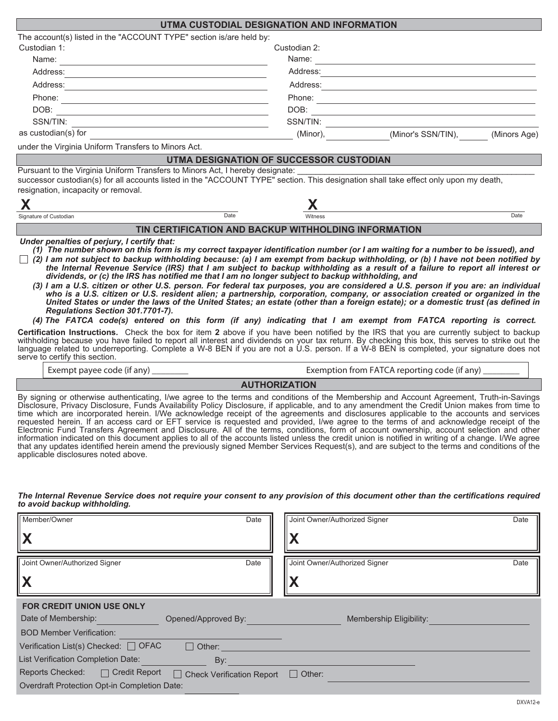|                                                                                                                                                                                                                                                                                                                                                                                                                                                                                                                                                                                                                                                                                                                                                                                                                                                                                                                                                                                                                                                                                                                                                                                                                                                                                                                                                                                                                                                                                                                                                                                                                | UTMA CUSTODIAL DESIGNATION AND INFORMATION                                                                            |                                                                                                                                                                                                                                |      |  |
|----------------------------------------------------------------------------------------------------------------------------------------------------------------------------------------------------------------------------------------------------------------------------------------------------------------------------------------------------------------------------------------------------------------------------------------------------------------------------------------------------------------------------------------------------------------------------------------------------------------------------------------------------------------------------------------------------------------------------------------------------------------------------------------------------------------------------------------------------------------------------------------------------------------------------------------------------------------------------------------------------------------------------------------------------------------------------------------------------------------------------------------------------------------------------------------------------------------------------------------------------------------------------------------------------------------------------------------------------------------------------------------------------------------------------------------------------------------------------------------------------------------------------------------------------------------------------------------------------------------|-----------------------------------------------------------------------------------------------------------------------|--------------------------------------------------------------------------------------------------------------------------------------------------------------------------------------------------------------------------------|------|--|
| The account(s) listed in the "ACCOUNT TYPE" section is/are held by:                                                                                                                                                                                                                                                                                                                                                                                                                                                                                                                                                                                                                                                                                                                                                                                                                                                                                                                                                                                                                                                                                                                                                                                                                                                                                                                                                                                                                                                                                                                                            |                                                                                                                       |                                                                                                                                                                                                                                |      |  |
| Custodian 1:                                                                                                                                                                                                                                                                                                                                                                                                                                                                                                                                                                                                                                                                                                                                                                                                                                                                                                                                                                                                                                                                                                                                                                                                                                                                                                                                                                                                                                                                                                                                                                                                   | Custodian 2:                                                                                                          |                                                                                                                                                                                                                                |      |  |
|                                                                                                                                                                                                                                                                                                                                                                                                                                                                                                                                                                                                                                                                                                                                                                                                                                                                                                                                                                                                                                                                                                                                                                                                                                                                                                                                                                                                                                                                                                                                                                                                                |                                                                                                                       |                                                                                                                                                                                                                                |      |  |
| Address: 2008 - 2008 - 2008 - 2010 - 2010 - 2010 - 2010 - 2010 - 2010 - 2010 - 2010 - 2010 - 2010 - 2010 - 20                                                                                                                                                                                                                                                                                                                                                                                                                                                                                                                                                                                                                                                                                                                                                                                                                                                                                                                                                                                                                                                                                                                                                                                                                                                                                                                                                                                                                                                                                                  |                                                                                                                       | Address:                                                                                                                                                                                                                       |      |  |
| Address: Note and the contract of the contract of the contract of the contract of the contract of the contract of the contract of the contract of the contract of the contract of the contract of the contract of the contract                                                                                                                                                                                                                                                                                                                                                                                                                                                                                                                                                                                                                                                                                                                                                                                                                                                                                                                                                                                                                                                                                                                                                                                                                                                                                                                                                                                 |                                                                                                                       | Address: Note that the contract of the contract of the contract of the contract of the contract of the contract of the contract of the contract of the contract of the contract of the contract of the contract of the contrac |      |  |
|                                                                                                                                                                                                                                                                                                                                                                                                                                                                                                                                                                                                                                                                                                                                                                                                                                                                                                                                                                                                                                                                                                                                                                                                                                                                                                                                                                                                                                                                                                                                                                                                                |                                                                                                                       |                                                                                                                                                                                                                                |      |  |
|                                                                                                                                                                                                                                                                                                                                                                                                                                                                                                                                                                                                                                                                                                                                                                                                                                                                                                                                                                                                                                                                                                                                                                                                                                                                                                                                                                                                                                                                                                                                                                                                                |                                                                                                                       |                                                                                                                                                                                                                                |      |  |
|                                                                                                                                                                                                                                                                                                                                                                                                                                                                                                                                                                                                                                                                                                                                                                                                                                                                                                                                                                                                                                                                                                                                                                                                                                                                                                                                                                                                                                                                                                                                                                                                                |                                                                                                                       | SSN/TIN: $\qquad \qquad \qquad$                                                                                                                                                                                                |      |  |
| as custodian(s) for                                                                                                                                                                                                                                                                                                                                                                                                                                                                                                                                                                                                                                                                                                                                                                                                                                                                                                                                                                                                                                                                                                                                                                                                                                                                                                                                                                                                                                                                                                                                                                                            | <u> 1980 - Johann Barn, mars ann an t-Amhain Aonaich an t-Aonaich an t-Aonaich an t-Aonaich an t-Aonaich an t-Aon</u> | (Minor), (Minor's SSN/TIN), (Minors Age)                                                                                                                                                                                       |      |  |
| under the Virginia Uniform Transfers to Minors Act.                                                                                                                                                                                                                                                                                                                                                                                                                                                                                                                                                                                                                                                                                                                                                                                                                                                                                                                                                                                                                                                                                                                                                                                                                                                                                                                                                                                                                                                                                                                                                            |                                                                                                                       |                                                                                                                                                                                                                                |      |  |
|                                                                                                                                                                                                                                                                                                                                                                                                                                                                                                                                                                                                                                                                                                                                                                                                                                                                                                                                                                                                                                                                                                                                                                                                                                                                                                                                                                                                                                                                                                                                                                                                                | UTMA DESIGNATION OF SUCCESSOR CUSTODIAN                                                                               |                                                                                                                                                                                                                                |      |  |
| Pursuant to the Virginia Uniform Transfers to Minors Act, I hereby designate:<br>successor custodian(s) for all accounts listed in the "ACCOUNT TYPE" section. This designation shall take effect only upon my death,<br>resignation, incapacity or removal.                                                                                                                                                                                                                                                                                                                                                                                                                                                                                                                                                                                                                                                                                                                                                                                                                                                                                                                                                                                                                                                                                                                                                                                                                                                                                                                                                   |                                                                                                                       |                                                                                                                                                                                                                                |      |  |
| X                                                                                                                                                                                                                                                                                                                                                                                                                                                                                                                                                                                                                                                                                                                                                                                                                                                                                                                                                                                                                                                                                                                                                                                                                                                                                                                                                                                                                                                                                                                                                                                                              |                                                                                                                       | <u> 1989 - Johann Barbara, martxa alemaniar amerikan personal (h. 1989).</u>                                                                                                                                                   |      |  |
| Signature of Custodian                                                                                                                                                                                                                                                                                                                                                                                                                                                                                                                                                                                                                                                                                                                                                                                                                                                                                                                                                                                                                                                                                                                                                                                                                                                                                                                                                                                                                                                                                                                                                                                         | Date<br>Witness                                                                                                       |                                                                                                                                                                                                                                | Date |  |
|                                                                                                                                                                                                                                                                                                                                                                                                                                                                                                                                                                                                                                                                                                                                                                                                                                                                                                                                                                                                                                                                                                                                                                                                                                                                                                                                                                                                                                                                                                                                                                                                                | TIN CERTIFICATION AND BACKUP WITHHOLDING INFORMATION                                                                  |                                                                                                                                                                                                                                |      |  |
| Under penalties of perjury, I certify that:<br>(1) The number shown on this form is my correct taxpayer identification number (or I am waiting for a number to be issued), and<br>$\Box$ (2) I am not subject to backup withholding because: (a) I am exempt from backup withholding, or (b) I have not been notified by<br>the Internal Revenue Service (IRS) that I am subject to backup withholding as a result of a failure to report all interest or<br>dividends, or (c) the IRS has notified me that I am no longer subject to backup withholding, and<br>(3) I am a U.S. citizen or other U.S. person. For federal tax purposes, you are considered a U.S. person if you are: an individual<br>who is a U.S. citizen or U.S. resident alien; a partnership, corporation, company, or association created or organized in the<br>United States or under the laws of the United States; an estate (other than a foreign estate); or a domestic trust (as defined in<br>Regulations Section 301.7701-7).<br>(4) The FATCA code(s) entered on this form (if any) indicating that I am exempt from FATCA reporting is correct.<br>Certification Instructions. Check the box for item 2 above if you have been notified by the IRS that you are currently subject to backup<br>withholding because you have failed to report all interest and dividends on your tax return. By checking this box, this serves to strike out the<br>language related to underreporting. Complete a W-8 BEN if you are not a U.S. person. If a W-8 BEN is completed, your signature does not<br>serve to certify this section. | <u> 1989 - Johann Barn, amerikansk politiker (</u>                                                                    |                                                                                                                                                                                                                                |      |  |
|                                                                                                                                                                                                                                                                                                                                                                                                                                                                                                                                                                                                                                                                                                                                                                                                                                                                                                                                                                                                                                                                                                                                                                                                                                                                                                                                                                                                                                                                                                                                                                                                                |                                                                                                                       | Exemption from FATCA reporting code (if any) _________                                                                                                                                                                         |      |  |
|                                                                                                                                                                                                                                                                                                                                                                                                                                                                                                                                                                                                                                                                                                                                                                                                                                                                                                                                                                                                                                                                                                                                                                                                                                                                                                                                                                                                                                                                                                                                                                                                                | <b>AUTHORIZATION</b>                                                                                                  |                                                                                                                                                                                                                                |      |  |
| By signing or otherwise authenticating, I/we agree to the terms and conditions of the Membership and Account Agreement, Truth-in-Savings<br>Disclosure, Privacy Disclosure, Funds Availability Policy Disclosure, if applicable, and to any amendment the Credit Union makes from time to                                                                                                                                                                                                                                                                                                                                                                                                                                                                                                                                                                                                                                                                                                                                                                                                                                                                                                                                                                                                                                                                                                                                                                                                                                                                                                                      |                                                                                                                       |                                                                                                                                                                                                                                |      |  |

Disclosure, Privacy Disclosure, Funds Availability Policy Disclosure, if applicable, and to any amendment the Credit Union makes from time to time which are incorporated herein. I/We acknowledge receipt of the agreements and disclosures applicable to the accounts and services requested herein. If an access card or EFT service is requested and provided, I/we agree to the terms of and acknowledge receipt of the Electronic Fund Transfers Agreement and Disclosure. All of the terms, conditions, form of account ownership, account selection and other information indicated on this document applies to all of the accounts listed unless the credit union is notified in writing of a change. I/We agree that any updates identified herein amend the previously signed Member Services Request(s), and are subject to the terms and conditions of the applicable disclosures noted above.

*The Internal Revenue Service does not require your consent to any provision of this document other than the certifications required to avoid backup withholding.*

| Member/Owner<br><u>  x</u>                                                                                                     | Date | Joint Owner/Authorized Signer<br>Date<br>л |
|--------------------------------------------------------------------------------------------------------------------------------|------|--------------------------------------------|
| Joint Owner/Authorized Signer                                                                                                  | Date | Joint Owner/Authorized Signer<br>Date<br>л |
| <b>FOR CREDIT UNION USE ONLY</b><br>Date of Membership:<br>Opened/Approved By:<br><b>BOD Member Verification:</b>              |      | Membership Eligibility:                    |
| Verification List(s) Checked: $\Box$ OFAC<br>$\Box$ Other:<br>List Verification Completion Date:<br>By:                        |      |                                            |
| <b>Reports Checked:</b><br>$\Box$ Credit Report<br>□ Check Verification Report<br>Overdraft Protection Opt-in Completion Date: |      | $\Box$ Other:                              |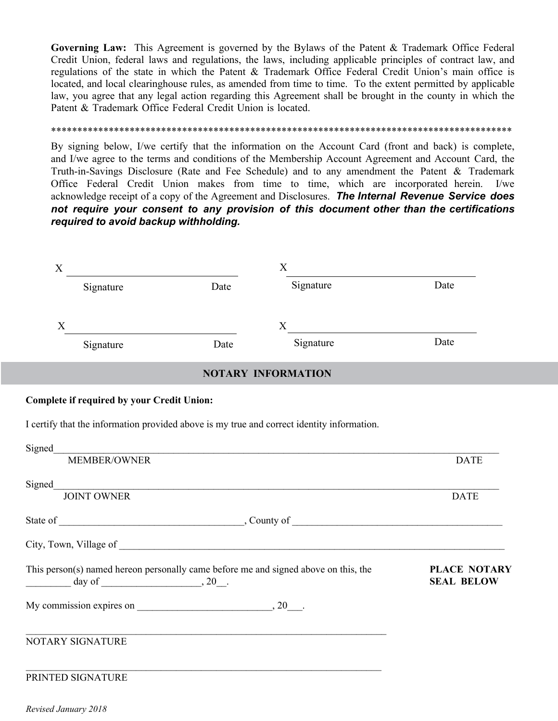**Governing Law:** This Agreement is governed by the Bylaws of the Patent & Trademark Office Federal Credit Union, federal laws and regulations, the laws, including applicable principles of contract law, and regulations of the state in which the Patent & Trademark Office Federal Credit Union's main office is located, and local clearinghouse rules, as amended from time to time. To the extent permitted by applicable law, you agree that any legal action regarding this Agreement shall be brought in the county in which the Patent & Trademark Office Federal Credit Union is located.

# \*\*\*\*\*\*\*\*\*\*\*\*\*\*\*\*\*\*\*\*\*\*\*\*\*\*\*\*\*\*\*\*\*\*\*\*\*\*\*\*\*\*\*\*\*\*\*\*\*\*\*\*\*\*\*\*\*\*\*\*\*\*\*\*\*\*\*\*\*\*\*\*\*\*\*\*\*\*\*\*\*\*\*\*\*\*\*\*

By signing below, I/we certify that the information on the Account Card (front and back) is complete, and I/we agree to the terms and conditions of the Membership Account Agreement and Account Card, the Truth-in-Savings Disclosure (Rate and Fee Schedule) and to any amendment the Patent & Trademark Office Federal Credit Union makes from time to time, which are incorporated herein. I/we acknowledge receipt of a copy of the Agreement and Disclosures. *The Internal Revenue Service does not require your consent to any provision of this document other than the certifications required to avoid backup withholding.*

| X<br><u> 1989 - Andrea Andrew Maria (h. 1989).</u>                                                                  |      | X                         |                                          |  |
|---------------------------------------------------------------------------------------------------------------------|------|---------------------------|------------------------------------------|--|
| Signature                                                                                                           | Date | Signature                 | Date                                     |  |
| X                                                                                                                   |      | $X$ <sub>1</sub>          |                                          |  |
| Signature                                                                                                           | Date | Signature                 | Date                                     |  |
|                                                                                                                     |      | <b>NOTARY INFORMATION</b> |                                          |  |
| <b>Complete if required by your Credit Union:</b>                                                                   |      |                           |                                          |  |
| I certify that the information provided above is my true and correct identity information.                          |      |                           |                                          |  |
| Signed                                                                                                              |      |                           |                                          |  |
|                                                                                                                     |      | MEMBER/OWNER              | <b>DATE</b>                              |  |
| Signed_                                                                                                             |      |                           |                                          |  |
|                                                                                                                     |      | JOINT OWNER               | <b>DATE</b>                              |  |
|                                                                                                                     |      |                           |                                          |  |
|                                                                                                                     |      |                           |                                          |  |
| This person(s) named hereon personally came before me and signed above on this, the<br>$\frac{1}{\text{day of}}$ 20 |      |                           | <b>PLACE NOTARY</b><br><b>SEAL BELOW</b> |  |
| My commission expires on $\qquad \qquad .20$ .                                                                      |      |                           |                                          |  |
| NOTARY SIGNATURE                                                                                                    |      |                           |                                          |  |
| PRINTED SIGNATURE                                                                                                   |      |                           |                                          |  |

*Revised January 2018*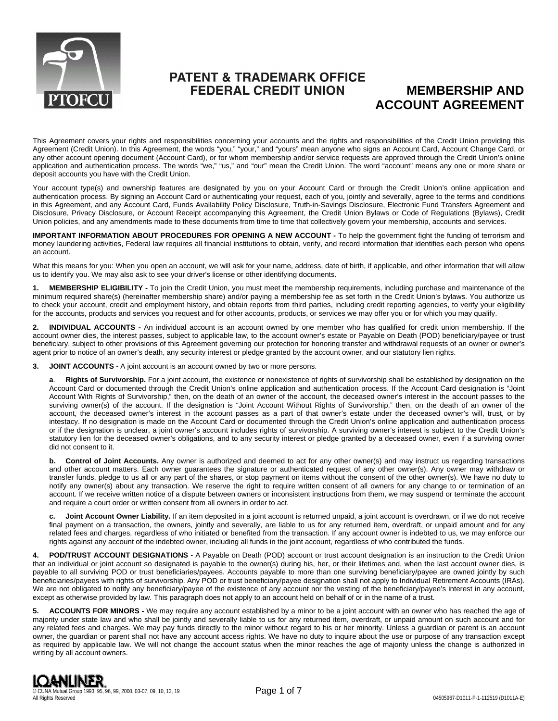

# **PATENT & TRADEMARK OFFICE FEDERAL CREDIT UNION**

# **MEMBERSHIP AND ACCOUNT AGREEMENT**

This Agreement covers your rights and responsibilities concerning your accounts and the rights and responsibilities of the Credit Union providing this Agreement (Credit Union). In this Agreement, the words "you," "your," and "yours" mean anyone who signs an Account Card, Account Change Card, or any other account opening document (Account Card), or for whom membership and/or service requests are approved through the Credit Union's online application and authentication process. The words "we," "us," and "our" mean the Credit Union. The word "account" means any one or more share or deposit accounts you have with the Credit Union.

Your account type(s) and ownership features are designated by you on your Account Card or through the Credit Union's online application and authentication process. By signing an Account Card or authenticating your request, each of you, jointly and severally, agree to the terms and conditions in this Agreement, and any Account Card, Funds Availability Policy Disclosure, Truth-in-Savings Disclosure, Electronic Fund Transfers Agreement and Disclosure, Privacy Disclosure, or Account Receipt accompanying this Agreement, the Credit Union Bylaws or Code of Regulations (Bylaws), Credit Union policies, and any amendments made to these documents from time to time that collectively govern your membership, accounts and services.

**IMPORTANT INFORMATION ABOUT PROCEDURES FOR OPENING A NEW ACCOUNT -** To help the government fight the funding of terrorism and money laundering activities, Federal law requires all financial institutions to obtain, verify, and record information that identifies each person who opens an account.

What this means for you: When you open an account, we will ask for your name, address, date of birth, if applicable, and other information that will allow us to identify you. We may also ask to see your driver's license or other identifying documents.

**1. MEMBERSHIP ELIGIBILITY -** To join the Credit Union, you must meet the membership requirements, including purchase and maintenance of the minimum required share(s) (hereinafter membership share) and/or paying a membership fee as set forth in the Credit Union's bylaws. You authorize us to check your account, credit and employment history, and obtain reports from third parties, including credit reporting agencies, to verify your eligibility for the accounts, products and services you request and for other accounts, products, or services we may offer you or for which you may qualify.

**2. INDIVIDUAL ACCOUNTS -** An individual account is an account owned by one member who has qualified for credit union membership. If the account owner dies, the interest passes, subject to applicable law, to the account owner's estate or Payable on Death (POD) beneficiary/payee or trust beneficiary, subject to other provisions of this Agreement governing our protection for honoring transfer and withdrawal requests of an owner or owner's agent prior to notice of an owner's death, any security interest or pledge granted by the account owner, and our statutory lien rights.

**3. JOINT ACCOUNTS -** A joint account is an account owned by two or more persons.

**a**. **Rights of Survivorship.** For a joint account, the existence or nonexistence of rights of survivorship shall be established by designation on the Account Card or documented through the Credit Union's online application and authentication process. If the Account Card designation is "Joint Account With Rights of Survivorship," then, on the death of an owner of the account, the deceased owner's interest in the account passes to the surviving owner(s) of the account. If the designation is "Joint Account Without Rights of Survivorship," then, on the death of an owner of the account, the deceased owner's interest in the account passes as a part of that owner's estate under the deceased owner's will, trust, or by intestacy. If no designation is made on the Account Card or documented through the Credit Union's online application and authentication process or if the designation is unclear, a joint owner's account includes rights of survivorship. A surviving owner's interest is subject to the Credit Union's statutory lien for the deceased owner's obligations, and to any security interest or pledge granted by a deceased owner, even if a surviving owner did not consent to it.

**b.** Control of Joint Accounts. Any owner is authorized and deemed to act for any other owner(s) and may instruct us regarding transactions and other account matters. Each owner guarantees the signature or authenticated request of any other owner(s). Any owner may withdraw or transfer funds, pledge to us all or any part of the shares, or stop payment on items without the consent of the other owner(s). We have no duty to notify any owner(s) about any transaction. We reserve the right to require written consent of all owners for any change to or termination of an account. If we receive written notice of a dispute between owners or inconsistent instructions from them, we may suspend or terminate the account and require a court order or written consent from all owners in order to act.

**c. Joint Account Owner Liability.** If an item deposited in a joint account is returned unpaid, a joint account is overdrawn, or if we do not receive final payment on a transaction, the owners, jointly and severally, are liable to us for any returned item, overdraft, or unpaid amount and for any related fees and charges, regardless of who initiated or benefited from the transaction. If any account owner is indebted to us, we may enforce our rights against any account of the indebted owner, including all funds in the joint account, regardless of who contributed the funds.

**4. POD/TRUST ACCOUNT DESIGNATIONS -** A Payable on Death (POD) account or trust account designation is an instruction to the Credit Union that an individual or joint account so designated is payable to the owner(s) during his, her, or their lifetimes and, when the last account owner dies, is payable to all surviving POD or trust beneficiaries/payees. Accounts payable to more than one surviving beneficiary/payee are owned jointly by such beneficiaries/payees with rights of survivorship. Any POD or trust beneficiary/payee designation shall not apply to Individual Retirement Accounts (IRAs). We are not obligated to notify any beneficiary/payee of the existence of any account nor the vesting of the beneficiary/payee's interest in any account, except as otherwise provided by law. This paragraph does not apply to an account held on behalf of or in the name of a trust.

**5. ACCOUNTS FOR MINORS -** We may require any account established by a minor to be a joint account with an owner who has reached the age of majority under state law and who shall be jointly and severally liable to us for any returned item, overdraft, or unpaid amount on such account and for any related fees and charges. We may pay funds directly to the minor without regard to his or her minority. Unless a guardian or parent is an account owner, the guardian or parent shall not have any account access rights. We have no duty to inquire about the use or purpose of any transaction except as required by applicable law. We will not change the account status when the minor reaches the age of majority unless the change is authorized in writing by all account owners.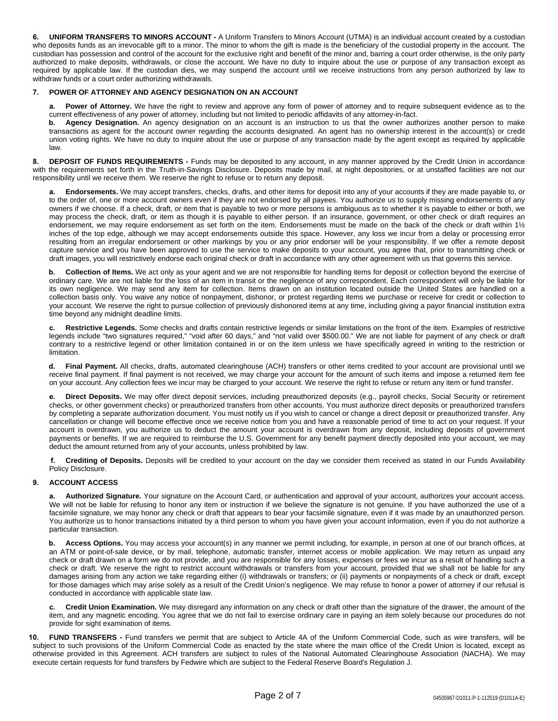**6. UNIFORM TRANSFERS TO MINORS ACCOUNT -** A Uniform Transfers to Minors Account (UTMA) is an individual account created by a custodian who deposits funds as an irrevocable gift to a minor. The minor to whom the gift is made is the beneficiary of the custodial property in the account. The custodian has possession and control of the account for the exclusive right and benefit of the minor and, barring a court order otherwise, is the only party authorized to make deposits, withdrawals, or close the account. We have no duty to inquire about the use or purpose of any transaction except as required by applicable law. If the custodian dies, we may suspend the account until we receive instructions from any person authorized by law to withdraw funds or a court order authorizing withdrawals.

### **7. POWER OF ATTORNEY AND AGENCY DESIGNATION ON AN ACCOUNT**

**a. Power of Attorney.** We have the right to review and approve any form of power of attorney and to require subsequent evidence as to the current effectiveness of any power of attorney, including but not limited to periodic affidavits of any attorney-in-fact.

**b. Agency Designation.** An agency designation on an account is an instruction to us that the owner authorizes another person to make transactions as agent for the account owner regarding the accounts designated. An agent has no ownership interest in the account(s) or credit union voting rights. We have no duty to inquire about the use or purpose of any transaction made by the agent except as required by applicable law.

**8. DEPOSIT OF FUNDS REQUIREMENTS -** Funds may be deposited to any account, in any manner approved by the Credit Union in accordance with the requirements set forth in the Truth-in-Savings Disclosure. Deposits made by mail, at night depositories, or at unstaffed facilities are not our responsibility until we receive them. We reserve the right to refuse or to return any deposit.

**a. Endorsements.** We may accept transfers, checks, drafts, and other items for deposit into any of your accounts if they are made payable to, or to the order of, one or more account owners even if they are not endorsed by all payees. You authorize us to supply missing endorsements of any owners if we choose. If a check, draft, or item that is payable to two or more persons is ambiguous as to whether it is payable to either or both, we may process the check, draft, or item as though it is payable to either person. If an insurance, government, or other check or draft requires an endorsement, we may require endorsement as set forth on the item. Endorsements must be made on the back of the check or draft within 1½ inches of the top edge, although we may accept endorsements outside this space. However, any loss we incur from a delay or processing error resulting from an irregular endorsement or other markings by you or any prior endorser will be your responsibility. If we offer a remote deposit capture service and you have been approved to use the service to make deposits to your account, you agree that, prior to transmitting check or draft images, you will restrictively endorse each original check or draft in accordance with any other agreement with us that governs this service.

**b. Collection of Items.** We act only as your agent and we are not responsible for handling items for deposit or collection beyond the exercise of ordinary care. We are not liable for the loss of an item in transit or the negligence of any correspondent. Each correspondent will only be liable for its own negligence. We may send any item for collection. Items drawn on an institution located outside the United States are handled on a collection basis only. You waive any notice of nonpayment, dishonor, or protest regarding items we purchase or receive for credit or collection to your account. We reserve the right to pursue collection of previously dishonored items at any time, including giving a payor financial institution extra time beyond any midnight deadline limits.

**c. Restrictive Legends.** Some checks and drafts contain restrictive legends or similar limitations on the front of the item. Examples of restrictive legends include "two signatures required," "void after 60 days," and "not valid over \$500.00." We are not liable for payment of any check or draft contrary to a restrictive legend or other limitation contained in or on the item unless we have specifically agreed in writing to the restriction or limitation.

**d. Final Payment.** All checks, drafts, automated clearinghouse (ACH) transfers or other items credited to your account are provisional until we receive final payment. If final payment is not received, we may charge your account for the amount of such items and impose a returned item fee on your account. Any collection fees we incur may be charged to your account. We reserve the right to refuse or return any item or fund transfer.

**e. Direct Deposits.** We may offer direct deposit services, including preauthorized deposits (e.g., payroll checks, Social Security or retirement checks, or other government checks) or preauthorized transfers from other accounts. You must authorize direct deposits or preauthorized transfers by completing a separate authorization document. You must notify us if you wish to cancel or change a direct deposit or preauthorized transfer. Any cancellation or change will become effective once we receive notice from you and have a reasonable period of time to act on your request. If your account is overdrawn, you authorize us to deduct the amount your account is overdrawn from any deposit, including deposits of government payments or benefits. If we are required to reimburse the U.S. Government for any benefit payment directly deposited into your account, we may deduct the amount returned from any of your accounts, unless prohibited by law.

**f. Crediting of Deposits.** Deposits will be credited to your account on the day we consider them received as stated in our Funds Availability Policy Disclosure.

# **9. ACCOUNT ACCESS**

**a. Authorized Signature.** Your signature on the Account Card, or authentication and approval of your account, authorizes your account access. We will not be liable for refusing to honor any item or instruction if we believe the signature is not genuine. If you have authorized the use of a facsimile signature, we may honor any check or draft that appears to bear your facsimile signature, even if it was made by an unauthorized person. You authorize us to honor transactions initiated by a third person to whom you have given your account information, even if you do not authorize a particular transaction.

**b. Access Options.** You may access your account(s) in any manner we permit including, for example, in person at one of our branch offices, at an ATM or point-of-sale device, or by mail, telephone, automatic transfer, internet access or mobile application. We may return as unpaid any check or draft drawn on a form we do not provide, and you are responsible for any losses, expenses or fees we incur as a result of handling such a check or draft. We reserve the right to restrict account withdrawals or transfers from your account, provided that we shall not be liable for any damages arising from any action we take regarding either (i) withdrawals or transfers; or (ii) payments or nonpayments of a check or draft, except for those damages which may arise solely as a result of the Credit Union's negligence. We may refuse to honor a power of attorney if our refusal is conducted in accordance with applicable state law.

**c. Credit Union Examination.** We may disregard any information on any check or draft other than the signature of the drawer, the amount of the item, and any magnetic encoding. You agree that we do not fail to exercise ordinary care in paying an item solely because our procedures do not provide for sight examination of items.

**10. FUND TRANSFERS -** Fund transfers we permit that are subject to Article 4A of the Uniform Commercial Code, such as wire transfers, will be subject to such provisions of the Uniform Commercial Code as enacted by the state where the main office of the Credit Union is located, except as otherwise provided in this Agreement. ACH transfers are subject to rules of the National Automated Clearinghouse Association (NACHA). We may execute certain requests for fund transfers by Fedwire which are subject to the Federal Reserve Board's Regulation J.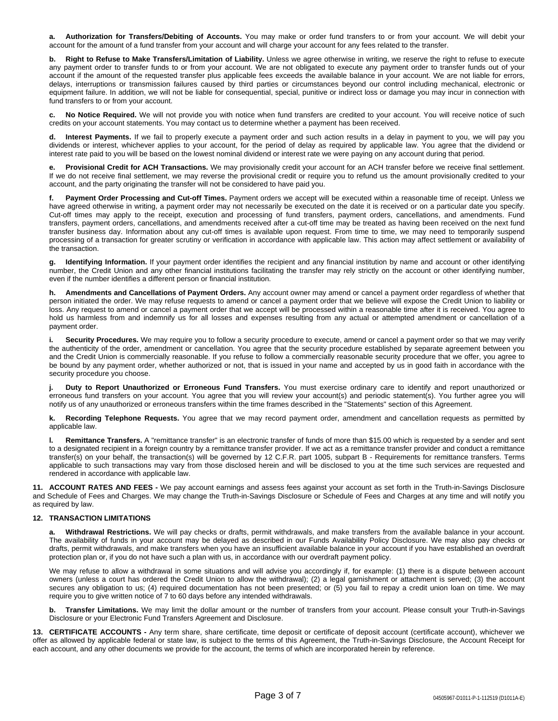**a. Authorization for Transfers/Debiting of Accounts.** You may make or order fund transfers to or from your account. We will debit your account for the amount of a fund transfer from your account and will charge your account for any fees related to the transfer.

**b. Right to Refuse to Make Transfers/Limitation of Liability.** Unless we agree otherwise in writing, we reserve the right to refuse to execute any payment order to transfer funds to or from your account. We are not obligated to execute any payment order to transfer funds out of your account if the amount of the requested transfer plus applicable fees exceeds the available balance in your account. We are not liable for errors, delays, interruptions or transmission failures caused by third parties or circumstances beyond our control including mechanical, electronic or equipment failure. In addition, we will not be liable for consequential, special, punitive or indirect loss or damage you may incur in connection with fund transfers to or from your account.

**c. No Notice Required.** We will not provide you with notice when fund transfers are credited to your account. You will receive notice of such credits on your account statements. You may contact us to determine whether a payment has been received.

Interest Payments. If we fail to properly execute a payment order and such action results in a delay in payment to you, we will pay you dividends or interest, whichever applies to your account, for the period of delay as required by applicable law. You agree that the dividend or interest rate paid to you will be based on the lowest nominal dividend or interest rate we were paying on any account during that period.

**e. Provisional Credit for ACH Transactions.** We may provisionally credit your account for an ACH transfer before we receive final settlement. If we do not receive final settlement, we may reverse the provisional credit or require you to refund us the amount provisionally credited to your account, and the party originating the transfer will not be considered to have paid you.

**f. Payment Order Processing and Cut-off Times.** Payment orders we accept will be executed within a reasonable time of receipt. Unless we have agreed otherwise in writing, a payment order may not necessarily be executed on the date it is received or on a particular date you specify. Cut-off times may apply to the receipt, execution and processing of fund transfers, payment orders, cancellations, and amendments. Fund transfers, payment orders, cancellations, and amendments received after a cut-off time may be treated as having been received on the next fund transfer business day. Information about any cut-off times is available upon request. From time to time, we may need to temporarily suspend processing of a transaction for greater scrutiny or verification in accordance with applicable law. This action may affect settlement or availability of the transaction.

**g. Identifying Information.** If your payment order identifies the recipient and any financial institution by name and account or other identifying number, the Credit Union and any other financial institutions facilitating the transfer may rely strictly on the account or other identifying number, even if the number identifies a different person or financial institution.

**h. Amendments and Cancellations of Payment Orders.** Any account owner may amend or cancel a payment order regardless of whether that person initiated the order. We may refuse requests to amend or cancel a payment order that we believe will expose the Credit Union to liability or loss. Any request to amend or cancel a payment order that we accept will be processed within a reasonable time after it is received. You agree to hold us harmless from and indemnify us for all losses and expenses resulting from any actual or attempted amendment or cancellation of a payment order.

Security Procedures. We may require you to follow a security procedure to execute, amend or cancel a payment order so that we may verify the authenticity of the order, amendment or cancellation. You agree that the security procedure established by separate agreement between you and the Credit Union is commercially reasonable. If you refuse to follow a commercially reasonable security procedure that we offer, you agree to be bound by any payment order, whether authorized or not, that is issued in your name and accepted by us in good faith in accordance with the security procedure you choose.

**j. Duty to Report Unauthorized or Erroneous Fund Transfers.** You must exercise ordinary care to identify and report unauthorized or erroneous fund transfers on your account. You agree that you will review your account(s) and periodic statement(s). You further agree you will notify us of any unauthorized or erroneous transfers within the time frames described in the "Statements" section of this Agreement.

**k. Recording Telephone Requests.** You agree that we may record payment order, amendment and cancellation requests as permitted by applicable law.

**l. Remittance Transfers.** A "remittance transfer" is an electronic transfer of funds of more than \$15.00 which is requested by a sender and sent to a designated recipient in a foreign country by a remittance transfer provider. If we act as a remittance transfer provider and conduct a remittance transfer(s) on your behalf, the transaction(s) will be governed by 12 C.F.R. part 1005, subpart B - Requirements for remittance transfers. Terms applicable to such transactions may vary from those disclosed herein and will be disclosed to you at the time such services are requested and rendered in accordance with applicable law.

**11. ACCOUNT RATES AND FEES -** We pay account earnings and assess fees against your account as set forth in the Truth-in-Savings Disclosure and Schedule of Fees and Charges. We may change the Truth-in-Savings Disclosure or Schedule of Fees and Charges at any time and will notify you as required by law.

# **12. TRANSACTION LIMITATIONS**

**a. Withdrawal Restrictions.** We will pay checks or drafts, permit withdrawals, and make transfers from the available balance in your account. The availability of funds in your account may be delayed as described in our Funds Availability Policy Disclosure. We may also pay checks or drafts, permit withdrawals, and make transfers when you have an insufficient available balance in your account if you have established an overdraft protection plan or, if you do not have such a plan with us, in accordance with our overdraft payment policy.

We may refuse to allow a withdrawal in some situations and will advise you accordingly if, for example: (1) there is a dispute between account owners (unless a court has ordered the Credit Union to allow the withdrawal); (2) a legal garnishment or attachment is served; (3) the account secures any obligation to us; (4) required documentation has not been presented; or (5) you fail to repay a credit union loan on time. We may require you to give written notice of 7 to 60 days before any intended withdrawals.

**b. Transfer Limitations.** We may limit the dollar amount or the number of transfers from your account. Please consult your Truth-in-Savings Disclosure or your Electronic Fund Transfers Agreement and Disclosure.

**13. CERTIFICATE ACCOUNTS -** Any term share, share certificate, time deposit or certificate of deposit account (certificate account), whichever we offer as allowed by applicable federal or state law, is subject to the terms of this Agreement, the Truth-in-Savings Disclosure, the Account Receipt for each account, and any other documents we provide for the account, the terms of which are incorporated herein by reference.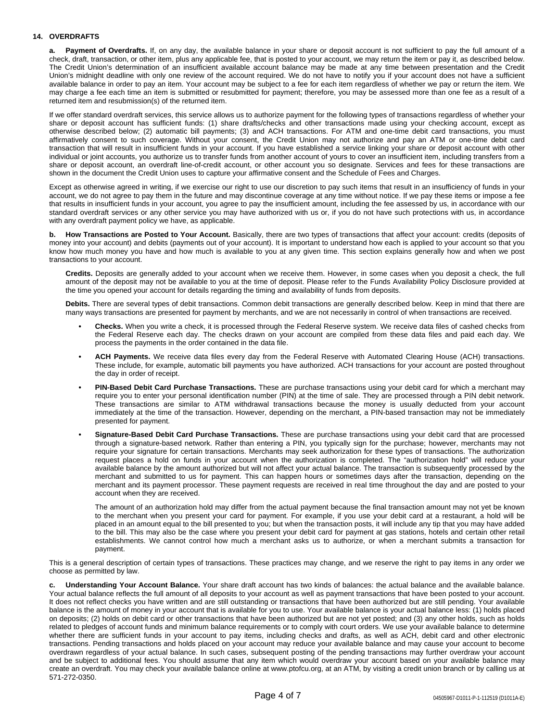# **14. OVERDRAFTS**

**a. Payment of Overdrafts.** If, on any day, the available balance in your share or deposit account is not sufficient to pay the full amount of a check, draft, transaction, or other item, plus any applicable fee, that is posted to your account, we may return the item or pay it, as described below. The Credit Union's determination of an insufficient available account balance may be made at any time between presentation and the Credit Union's midnight deadline with only one review of the account required. We do not have to notify you if your account does not have a sufficient available balance in order to pay an item. Your account may be subject to a fee for each item regardless of whether we pay or return the item. We may charge a fee each time an item is submitted or resubmitted for payment; therefore, you may be assessed more than one fee as a result of a returned item and resubmission(s) of the returned item.

If we offer standard overdraft services, this service allows us to authorize payment for the following types of transactions regardless of whether your share or deposit account has sufficient funds: (1) share drafts/checks and other transactions made using your checking account, except as otherwise described below; (2) automatic bill payments; (3) and ACH transactions. For ATM and one-time debit card transactions, you must affirmatively consent to such coverage. Without your consent, the Credit Union may not authorize and pay an ATM or one-time debit card transaction that will result in insufficient funds in your account. If you have established a service linking your share or deposit account with other individual or joint accounts, you authorize us to transfer funds from another account of yours to cover an insufficient item, including transfers from a share or deposit account, an overdraft line-of-credit account, or other account you so designate. Services and fees for these transactions are shown in the document the Credit Union uses to capture your affirmative consent and the Schedule of Fees and Charges.

Except as otherwise agreed in writing, if we exercise our right to use our discretion to pay such items that result in an insufficiency of funds in your account, we do not agree to pay them in the future and may discontinue coverage at any time without notice. If we pay these items or impose a fee that results in insufficient funds in your account, you agree to pay the insufficient amount, including the fee assessed by us, in accordance with our standard overdraft services or any other service you may have authorized with us or, if you do not have such protections with us, in accordance with any overdraft payment policy we have, as applicable.

**b. How Transactions are Posted to Your Account.** Basically, there are two types of transactions that affect your account: credits (deposits of money into your account) and debits (payments out of your account). It is important to understand how each is applied to your account so that you know how much money you have and how much is available to you at any given time. This section explains generally how and when we post transactions to your account.

**Credits.** Deposits are generally added to your account when we receive them. However, in some cases when you deposit a check, the full amount of the deposit may not be available to you at the time of deposit. Please refer to the Funds Availability Policy Disclosure provided at the time you opened your account for details regarding the timing and availability of funds from deposits.

**Debits.** There are several types of debit transactions. Common debit transactions are generally described below. Keep in mind that there are many ways transactions are presented for payment by merchants, and we are not necessarily in control of when transactions are received.

- **• Checks.** When you write a check, it is processed through the Federal Reserve system. We receive data files of cashed checks from the Federal Reserve each day. The checks drawn on your account are compiled from these data files and paid each day. We process the payments in the order contained in the data file.
- **• ACH Payments.** We receive data files every day from the Federal Reserve with Automated Clearing House (ACH) transactions. These include, for example, automatic bill payments you have authorized. ACH transactions for your account are posted throughout the day in order of receipt.
- **• PIN-Based Debit Card Purchase Transactions.** These are purchase transactions using your debit card for which a merchant may require you to enter your personal identification number (PIN) at the time of sale. They are processed through a PIN debit network. These transactions are similar to ATM withdrawal transactions because the money is usually deducted from your account immediately at the time of the transaction. However, depending on the merchant, a PIN-based transaction may not be immediately presented for payment.
- **• Signature-Based Debit Card Purchase Transactions.** These are purchase transactions using your debit card that are processed through a signature-based network. Rather than entering a PIN, you typically sign for the purchase; however, merchants may not require your signature for certain transactions. Merchants may seek authorization for these types of transactions. The authorization request places a hold on funds in your account when the authorization is completed. The "authorization hold" will reduce your available balance by the amount authorized but will not affect your actual balance. The transaction is subsequently processed by the merchant and submitted to us for payment. This can happen hours or sometimes days after the transaction, depending on the merchant and its payment processor. These payment requests are received in real time throughout the day and are posted to your account when they are received.

The amount of an authorization hold may differ from the actual payment because the final transaction amount may not yet be known to the merchant when you present your card for payment. For example, if you use your debit card at a restaurant, a hold will be placed in an amount equal to the bill presented to you; but when the transaction posts, it will include any tip that you may have added to the bill. This may also be the case where you present your debit card for payment at gas stations, hotels and certain other retail establishments. We cannot control how much a merchant asks us to authorize, or when a merchant submits a transaction for payment.

This is a general description of certain types of transactions. These practices may change, and we reserve the right to pay items in any order we choose as permitted by law.

**c. Understanding Your Account Balance.** Your share draft account has two kinds of balances: the actual balance and the available balance. Your actual balance reflects the full amount of all deposits to your account as well as payment transactions that have been posted to your account. It does not reflect checks you have written and are still outstanding or transactions that have been authorized but are still pending. Your available balance is the amount of money in your account that is available for you to use. Your available balance is your actual balance less: (1) holds placed on deposits; (2) holds on debit card or other transactions that have been authorized but are not yet posted; and (3) any other holds, such as holds related to pledges of account funds and minimum balance requirements or to comply with court orders. We use your available balance to determine whether there are sufficient funds in your account to pay items, including checks and drafts, as well as ACH, debit card and other electronic transactions. Pending transactions and holds placed on your account may reduce your available balance and may cause your account to become overdrawn regardless of your actual balance. In such cases, subsequent posting of the pending transactions may further overdraw your account and be subject to additional fees. You should assume that any item which would overdraw your account based on your available balance may create an overdraft. You may check your available balance online at www.ptofcu.org, at an ATM, by visiting a credit union branch or by calling us at 571-272-0350.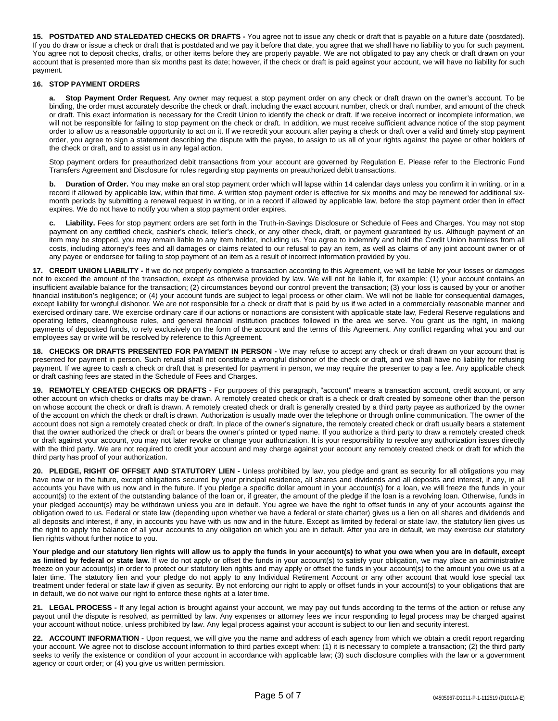**15. POSTDATED AND STALEDATED CHECKS OR DRAFTS -** You agree not to issue any check or draft that is payable on a future date (postdated). If you do draw or issue a check or draft that is postdated and we pay it before that date, you agree that we shall have no liability to you for such payment. You agree not to deposit checks, drafts, or other items before they are properly payable. We are not obligated to pay any check or draft drawn on your account that is presented more than six months past its date; however, if the check or draft is paid against your account, we will have no liability for such payment.

# **16. STOP PAYMENT ORDERS**

**a. Stop Payment Order Request.** Any owner may request a stop payment order on any check or draft drawn on the owner's account. To be binding, the order must accurately describe the check or draft, including the exact account number, check or draft number, and amount of the check or draft. This exact information is necessary for the Credit Union to identify the check or draft. If we receive incorrect or incomplete information, we will not be responsible for failing to stop payment on the check or draft. In addition, we must receive sufficient advance notice of the stop payment order to allow us a reasonable opportunity to act on it. If we recredit your account after paying a check or draft over a valid and timely stop payment order, you agree to sign a statement describing the dispute with the payee, to assign to us all of your rights against the payee or other holders of the check or draft, and to assist us in any legal action.

Stop payment orders for preauthorized debit transactions from your account are governed by Regulation E. Please refer to the Electronic Fund Transfers Agreement and Disclosure for rules regarding stop payments on preauthorized debit transactions.

**b. Duration of Order.** You may make an oral stop payment order which will lapse within 14 calendar days unless you confirm it in writing, or in a record if allowed by applicable law, within that time. A written stop payment order is effective for six months and may be renewed for additional sixmonth periods by submitting a renewal request in writing, or in a record if allowed by applicable law, before the stop payment order then in effect expires. We do not have to notify you when a stop payment order expires.

**c. Liability.** Fees for stop payment orders are set forth in the Truth-in-Savings Disclosure or Schedule of Fees and Charges. You may not stop payment on any certified check, cashier's check, teller's check, or any other check, draft, or payment guaranteed by us. Although payment of an item may be stopped, you may remain liable to any item holder, including us. You agree to indemnify and hold the Credit Union harmless from all costs, including attorney's fees and all damages or claims related to our refusal to pay an item, as well as claims of any joint account owner or of any payee or endorsee for failing to stop payment of an item as a result of incorrect information provided by you.

**17. CREDIT UNION LIABILITY -** If we do not properly complete a transaction according to this Agreement, we will be liable for your losses or damages not to exceed the amount of the transaction, except as otherwise provided by law. We will not be liable if, for example: (1) your account contains an insufficient available balance for the transaction; (2) circumstances beyond our control prevent the transaction; (3) your loss is caused by your or another financial institution's negligence; or (4) your account funds are subject to legal process or other claim. We will not be liable for consequential damages, except liability for wrongful dishonor. We are not responsible for a check or draft that is paid by us if we acted in a commercially reasonable manner and exercised ordinary care. We exercise ordinary care if our actions or nonactions are consistent with applicable state law, Federal Reserve regulations and operating letters, clearinghouse rules, and general financial institution practices followed in the area we serve. You grant us the right, in making payments of deposited funds, to rely exclusively on the form of the account and the terms of this Agreement. Any conflict regarding what you and our employees say or write will be resolved by reference to this Agreement.

**18. CHECKS OR DRAFTS PRESENTED FOR PAYMENT IN PERSON -** We may refuse to accept any check or draft drawn on your account that is presented for payment in person. Such refusal shall not constitute a wrongful dishonor of the check or draft, and we shall have no liability for refusing payment. If we agree to cash a check or draft that is presented for payment in person, we may require the presenter to pay a fee. Any applicable check or draft cashing fees are stated in the Schedule of Fees and Charges.

**19. REMOTELY CREATED CHECKS OR DRAFTS -** For purposes of this paragraph, "account" means a transaction account, credit account, or any other account on which checks or drafts may be drawn. A remotely created check or draft is a check or draft created by someone other than the person on whose account the check or draft is drawn. A remotely created check or draft is generally created by a third party payee as authorized by the owner of the account on which the check or draft is drawn. Authorization is usually made over the telephone or through online communication. The owner of the account does not sign a remotely created check or draft. In place of the owner's signature, the remotely created check or draft usually bears a statement that the owner authorized the check or draft or bears the owner's printed or typed name. If you authorize a third party to draw a remotely created check or draft against your account, you may not later revoke or change your authorization. It is your responsibility to resolve any authorization issues directly with the third party. We are not required to credit your account and may charge against your account any remotely created check or draft for which the third party has proof of your authorization.

**20. PLEDGE, RIGHT OF OFFSET AND STATUTORY LIEN -** Unless prohibited by law, you pledge and grant as security for all obligations you may have now or in the future, except obligations secured by your principal residence, all shares and dividends and all deposits and interest, if any, in all accounts you have with us now and in the future. If you pledge a specific dollar amount in your account(s) for a loan, we will freeze the funds in your account(s) to the extent of the outstanding balance of the loan or, if greater, the amount of the pledge if the loan is a revolving loan. Otherwise, funds in your pledged account(s) may be withdrawn unless you are in default. You agree we have the right to offset funds in any of your accounts against the obligation owed to us. Federal or state law (depending upon whether we have a federal or state charter) gives us a lien on all shares and dividends and all deposits and interest, if any, in accounts you have with us now and in the future. Except as limited by federal or state law, the statutory lien gives us the right to apply the balance of all your accounts to any obligation on which you are in default. After you are in default, we may exercise our statutory lien rights without further notice to you.

Your pledge and our statutory lien rights will allow us to apply the funds in your account(s) to what you owe when you are in default, except **as limited by federal or state law.** If we do not apply or offset the funds in your account(s) to satisfy your obligation, we may place an administrative freeze on your account(s) in order to protect our statutory lien rights and may apply or offset the funds in your account(s) to the amount you owe us at a later time. The statutory lien and your pledge do not apply to any Individual Retirement Account or any other account that would lose special tax treatment under federal or state law if given as security. By not enforcing our right to apply or offset funds in your account(s) to your obligations that are in default, we do not waive our right to enforce these rights at a later time.

**21. LEGAL PROCESS -** If any legal action is brought against your account, we may pay out funds according to the terms of the action or refuse any payout until the dispute is resolved, as permitted by law. Any expenses or attorney fees we incur responding to legal process may be charged against your account without notice, unless prohibited by law. Any legal process against your account is subject to our lien and security interest.

**22. ACCOUNT INFORMATION -** Upon request, we will give you the name and address of each agency from which we obtain a credit report regarding your account. We agree not to disclose account information to third parties except when: (1) it is necessary to complete a transaction; (2) the third party seeks to verify the existence or condition of your account in accordance with applicable law; (3) such disclosure complies with the law or a government agency or court order; or (4) you give us written permission.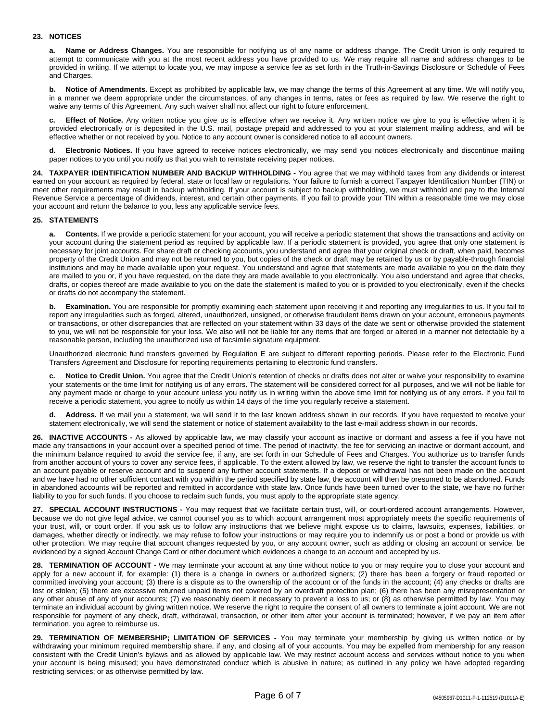# **23. NOTICES**

**a. Name or Address Changes.** You are responsible for notifying us of any name or address change. The Credit Union is only required to attempt to communicate with you at the most recent address you have provided to us. We may require all name and address changes to be provided in writing. If we attempt to locate you, we may impose a service fee as set forth in the Truth-in-Savings Disclosure or Schedule of Fees and Charges.

**b. Notice of Amendments.** Except as prohibited by applicable law, we may change the terms of this Agreement at any time. We will notify you, in a manner we deem appropriate under the circumstances, of any changes in terms, rates or fees as required by law. We reserve the right to waive any terms of this Agreement. Any such waiver shall not affect our right to future enforcement.

**c. Effect of Notice.** Any written notice you give us is effective when we receive it. Any written notice we give to you is effective when it is provided electronically or is deposited in the U.S. mail, postage prepaid and addressed to you at your statement mailing address, and will be effective whether or not received by you. Notice to any account owner is considered notice to all account owners.

**d. Electronic Notices.** If you have agreed to receive notices electronically, we may send you notices electronically and discontinue mailing paper notices to you until you notify us that you wish to reinstate receiving paper notices.

**24. TAXPAYER IDENTIFICATION NUMBER AND BACKUP WITHHOLDING -** You agree that we may withhold taxes from any dividends or interest earned on your account as required by federal, state or local law or regulations. Your failure to furnish a correct Taxpayer Identification Number (TIN) or meet other requirements may result in backup withholding. If your account is subject to backup withholding, we must withhold and pay to the Internal Revenue Service a percentage of dividends, interest, and certain other payments. If you fail to provide your TIN within a reasonable time we may close your account and return the balance to you, less any applicable service fees.

#### **25. STATEMENTS**

**a. Contents.** If we provide a periodic statement for your account, you will receive a periodic statement that shows the transactions and activity on your account during the statement period as required by applicable law. If a periodic statement is provided, you agree that only one statement is necessary for joint accounts. For share draft or checking accounts, you understand and agree that your original check or draft, when paid, becomes property of the Credit Union and may not be returned to you, but copies of the check or draft may be retained by us or by payable-through financial institutions and may be made available upon your request. You understand and agree that statements are made available to you on the date they are mailed to you or, if you have requested, on the date they are made available to you electronically. You also understand and agree that checks, drafts, or copies thereof are made available to you on the date the statement is mailed to you or is provided to you electronically, even if the checks or drafts do not accompany the statement.

**b.** Examination. You are responsible for promptly examining each statement upon receiving it and reporting any irregularities to us. If you fail to report any irregularities such as forged, altered, unauthorized, unsigned, or otherwise fraudulent items drawn on your account, erroneous payments or transactions, or other discrepancies that are reflected on your statement within 33 days of the date we sent or otherwise provided the statement to you, we will not be responsible for your loss. We also will not be liable for any items that are forged or altered in a manner not detectable by a reasonable person, including the unauthorized use of facsimile signature equipment.

Unauthorized electronic fund transfers governed by Regulation E are subject to different reporting periods. Please refer to the Electronic Fund Transfers Agreement and Disclosure for reporting requirements pertaining to electronic fund transfers.

**c. Notice to Credit Union.** You agree that the Credit Union's retention of checks or drafts does not alter or waive your responsibility to examine your statements or the time limit for notifying us of any errors. The statement will be considered correct for all purposes, and we will not be liable for any payment made or charge to your account unless you notify us in writing within the above time limit for notifying us of any errors. If you fail to receive a periodic statement, you agree to notify us within 14 days of the time you regularly receive a statement.

Address. If we mail you a statement, we will send it to the last known address shown in our records. If you have requested to receive your statement electronically, we will send the statement or notice of statement availability to the last e-mail address shown in our records.

**26. INACTIVE ACCOUNTS -** As allowed by applicable law, we may classify your account as inactive or dormant and assess a fee if you have not made any transactions in your account over a specified period of time. The period of inactivity, the fee for servicing an inactive or dormant account, and the minimum balance required to avoid the service fee, if any, are set forth in our Schedule of Fees and Charges. You authorize us to transfer funds from another account of yours to cover any service fees, if applicable. To the extent allowed by law, we reserve the right to transfer the account funds to an account payable or reserve account and to suspend any further account statements. If a deposit or withdrawal has not been made on the account and we have had no other sufficient contact with you within the period specified by state law, the account will then be presumed to be abandoned. Funds in abandoned accounts will be reported and remitted in accordance with state law. Once funds have been turned over to the state, we have no further liability to you for such funds. If you choose to reclaim such funds, you must apply to the appropriate state agency.

**27. SPECIAL ACCOUNT INSTRUCTIONS -** You may request that we facilitate certain trust, will, or court-ordered account arrangements. However, because we do not give legal advice, we cannot counsel you as to which account arrangement most appropriately meets the specific requirements of your trust, will, or court order. If you ask us to follow any instructions that we believe might expose us to claims, lawsuits, expenses, liabilities, or damages, whether directly or indirectly, we may refuse to follow your instructions or may require you to indemnify us or post a bond or provide us with other protection. We may require that account changes requested by you, or any account owner, such as adding or closing an account or service, be evidenced by a signed Account Change Card or other document which evidences a change to an account and accepted by us.

**28. TERMINATION OF ACCOUNT -** We may terminate your account at any time without notice to you or may require you to close your account and apply for a new account if, for example: (1) there is a change in owners or authorized signers; (2) there has been a forgery or fraud reported or committed involving your account; (3) there is a dispute as to the ownership of the account or of the funds in the account; (4) any checks or drafts are lost or stolen; (5) there are excessive returned unpaid items not covered by an overdraft protection plan; (6) there has been any misrepresentation or any other abuse of any of your accounts; (7) we reasonably deem it necessary to prevent a loss to us; or (8) as otherwise permitted by law. You may terminate an individual account by giving written notice. We reserve the right to require the consent of all owners to terminate a joint account. We are not responsible for payment of any check, draft, withdrawal, transaction, or other item after your account is terminated; however, if we pay an item after termination, you agree to reimburse us.

**29. TERMINATION OF MEMBERSHIP; LIMITATION OF SERVICES -** You may terminate your membership by giving us written notice or by withdrawing your minimum required membership share, if any, and closing all of your accounts. You may be expelled from membership for any reason consistent with the Credit Union's bylaws and as allowed by applicable law. We may restrict account access and services without notice to you when your account is being misused; you have demonstrated conduct which is abusive in nature; as outlined in any policy we have adopted regarding restricting services; or as otherwise permitted by law.